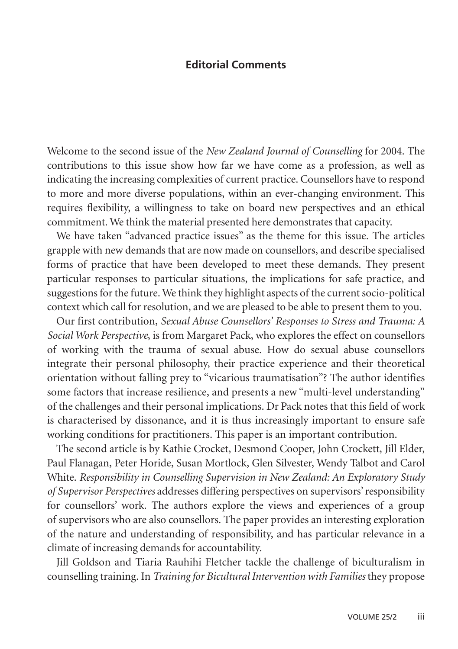## **Editorial Comments**

Welcome to the second issue of the *New Zealand Journal of Counselling* for 2004. The contributions to this issue show how far we have come as a profession, as well as indicating the increasing complexities of current practice. Counsellors have to respond to more and more diverse populations, within an ever-changing environment. This requires flexibility, a willingness to take on board new perspectives and an ethical commitment. We think the material presented here demonstrates that capacity.

We have taken "advanced practice issues" as the theme for this issue. The articles grapple with new demands that are now made on counsellors, and describe specialised forms of practice that have been developed to meet these demands. They present particular responses to particular situations, the implications for safe practice, and suggestions for the future. We think they highlight aspects of the current socio-political context which call for resolution, and we are pleased to be able to present them to you.

Our first contribution, *Sexual Abuse Counsellors' Responses to Stress and Trauma: A Social Work Perspective*, is from Margaret Pack, who explores the effect on counsellors of working with the trauma of sexual abuse. How do sexual abuse counsellors integrate their personal philosophy, their practice experience and their theoretical orientation without falling prey to "vicarious traumatisation"? The author identifies some factors that increase resilience, and presents a new "multi-level understanding" of the challenges and their personal implications. Dr Pack notes that this field of work is characterised by dissonance, and it is thus increasingly important to ensure safe working conditions for practitioners. This paper is an important contribution.

The second article is by Kathie Crocket, Desmond Cooper, John Crockett, Jill Elder, Paul Flanagan, Peter Horide, Susan Mortlock, Glen Silvester, Wendy Talbot and Carol White. *Responsibility in Counselling Supervision in New Zealand: An Exploratory Study of Supervisor Perspectives* addresses differing perspectives on supervisors' responsibility for counsellors' work. The authors explore the views and experiences of a group of supervisors who are also counsellors. The paper provides an interesting exploration of the nature and understanding of responsibility, and has particular relevance in a climate of increasing demands for accountability.

Jill Goldson and Tiaria Rauhihi Fletcher tackle the challenge of biculturalism in counselling training. In *Training for Bicultural Intervention with Families* they propose